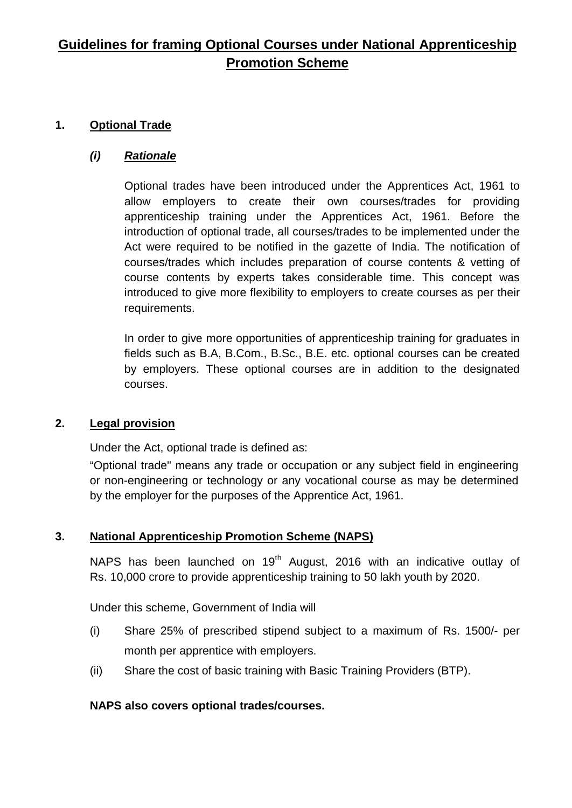# **Guidelines for framing Optional Courses under National Apprenticeship Promotion Scheme**

# **1. Optional Trade**

# *(i) Rationale*

Optional trades have been introduced under the Apprentices Act, 1961 to allow employers to create their own courses/trades for providing apprenticeship training under the Apprentices Act, 1961. Before the introduction of optional trade, all courses/trades to be implemented under the Act were required to be notified in the gazette of India. The notification of courses/trades which includes preparation of course contents & vetting of course contents by experts takes considerable time. This concept was introduced to give more flexibility to employers to create courses as per their requirements.

In order to give more opportunities of apprenticeship training for graduates in fields such as B.A, B.Com., B.Sc., B.E. etc. optional courses can be created by employers. These optional courses are in addition to the designated courses.

## **2. Legal provision**

Under the Act, optional trade is defined as:

"Optional trade" means any trade or occupation or any subject field in engineering or non-engineering or technology or any vocational course as may be determined by the employer for the purposes of the Apprentice Act, 1961.

## **3. National Apprenticeship Promotion Scheme (NAPS)**

NAPS has been launched on  $19<sup>th</sup>$  August, 2016 with an indicative outlay of Rs. 10,000 crore to provide apprenticeship training to 50 lakh youth by 2020.

Under this scheme, Government of India will

- (i) Share 25% of prescribed stipend subject to a maximum of Rs. 1500/- per month per apprentice with employers.
- (ii) Share the cost of basic training with Basic Training Providers (BTP).

## **NAPS also covers optional trades/courses.**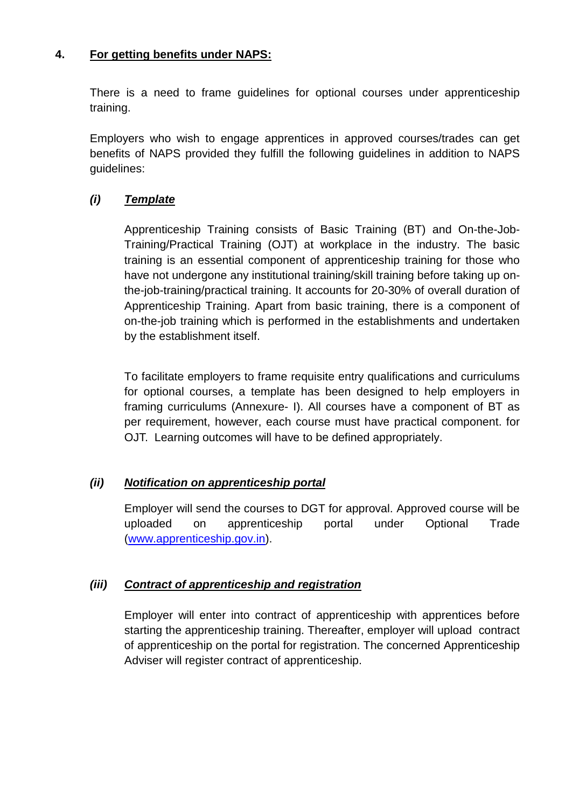## **4. For getting benefits under NAPS:**

There is a need to frame guidelines for optional courses under apprenticeship training.

Employers who wish to engage apprentices in approved courses/trades can get benefits of NAPS provided they fulfill the following guidelines in addition to NAPS guidelines:

## *(i) Template*

Apprenticeship Training consists of Basic Training (BT) and On-the-Job-Training/Practical Training (OJT) at workplace in the industry. The basic training is an essential component of apprenticeship training for those who have not undergone any institutional training/skill training before taking up onthe-job-training/practical training. It accounts for 20-30% of overall duration of Apprenticeship Training. Apart from basic training, there is a component of on-the-job training which is performed in the establishments and undertaken by the establishment itself.

To facilitate employers to frame requisite entry qualifications and curriculums for optional courses, a template has been designed to help employers in framing curriculums (Annexure- I). All courses have a component of BT as per requirement, however, each course must have practical component. for OJT. Learning outcomes will have to be defined appropriately.

## *(ii) Notification on apprenticeship portal*

Employer will send the courses to DGT for approval. Approved course will be uploaded on apprenticeship portal under Optional Trade [\(www.apprenticeship.gov.in\)](http://www.apprenticeship.gov.in/).

## *(iii) Contract of apprenticeship and registration*

Employer will enter into contract of apprenticeship with apprentices before starting the apprenticeship training. Thereafter, employer will upload contract of apprenticeship on the portal for registration. The concerned Apprenticeship Adviser will register contract of apprenticeship.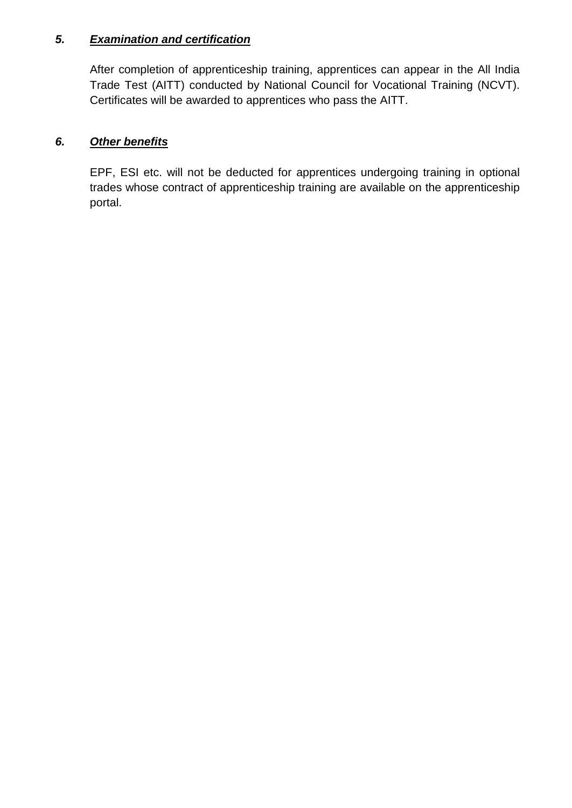## *5. Examination and certification*

After completion of apprenticeship training, apprentices can appear in the All India Trade Test (AITT) conducted by National Council for Vocational Training (NCVT). Certificates will be awarded to apprentices who pass the AITT.

## *6. Other benefits*

EPF, ESI etc. will not be deducted for apprentices undergoing training in optional trades whose contract of apprenticeship training are available on the apprenticeship portal.